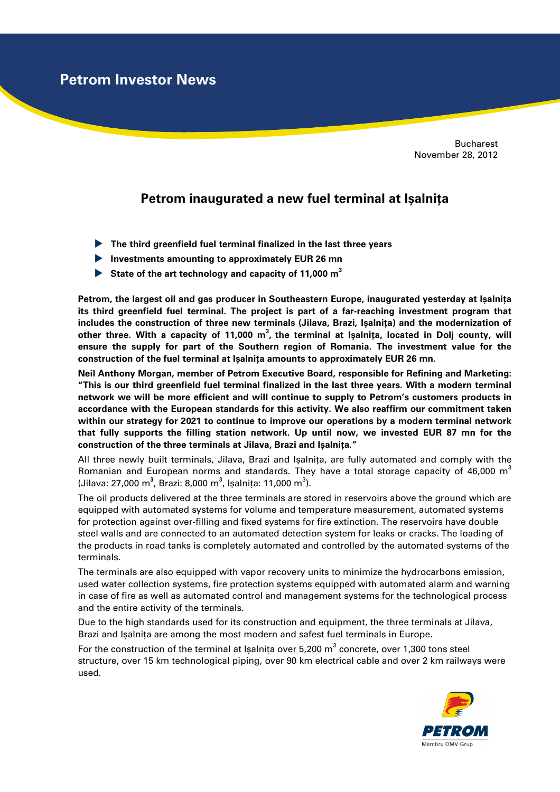**Petrom Investor News**

Bucharest November 28, 2012

## **Petrom inaugurated a new fuel terminal at Ișalnița**

- **The third greenfield fuel terminal finalized in the last three years**
- **Investments amounting to approximately EUR 26 mn**
- **State of the art technology and capacity of 11,000 m 3**

**Petrom, the largest oil and gas producer in Southeastern Europe, inaugurated yesterday at Ișalnița its third greenfield fuel terminal. The project is part of a far-reaching investment program that includes the construction of three new terminals (Jilava, Brazi, Ișalnița) and the modernization of other three. With a capacity of 11,000 m<sup>3</sup> , the terminal at Işalniţa, located in Dolj county, will ensure the supply for part of the Southern region of Romania. The investment value for the construction of the fuel terminal at Ișalnița amounts to approximately EUR 26 mn.** 

**Neil Anthony Morgan, member of Petrom Executive Board, responsible for Refining and Marketing: "This is our third greenfield fuel terminal finalized in the last three years. With a modern terminal network we will be more efficient and will continue to supply to Petrom's customers products in accordance with the European standards for this activity. We also reaffirm our commitment taken within our strategy for 2021 to continue to improve our operations by a modern terminal network that fully supports the filling station network. Up until now, we invested EUR 87 mn for the construction of the three terminals at Jilava, Brazi and Ișalnița."** 

All three newly built terminals, Jilava, Brazi and Ișalnița, are fully automated and comply with the Romanian and European norms and standards. They have a total storage capacity of 46,000  $m<sup>3</sup>$ (Jilava: 27,000 m<sup>3</sup>, Brazi: 8,000 m<sup>3</sup>, Ișalnița: 11,000 m<sup>3</sup>).

The oil products delivered at the three terminals are stored in reservoirs above the ground which are equipped with automated systems for volume and temperature measurement, automated systems for protection against over-filling and fixed systems for fire extinction. The reservoirs have double steel walls and are connected to an automated detection system for leaks or cracks. The loading of the products in road tanks is completely automated and controlled by the automated systems of the terminals.

The terminals are also equipped with vapor recovery units to minimize the hydrocarbons emission, used water collection systems, fire protection systems equipped with automated alarm and warning in case of fire as well as automated control and management systems for the technological process and the entire activity of the terminals.

Due to the high standards used for its construction and equipment, the three terminals at Jilava, Brazi and Ișalnița are among the most modern and safest fuel terminals in Europe.

For the construction of the terminal at Ișalnița over 5,200 m $^3$  concrete, over 1,300 tons steel structure, over 15 km technological piping, over 90 km electrical cable and over 2 km railways were used.